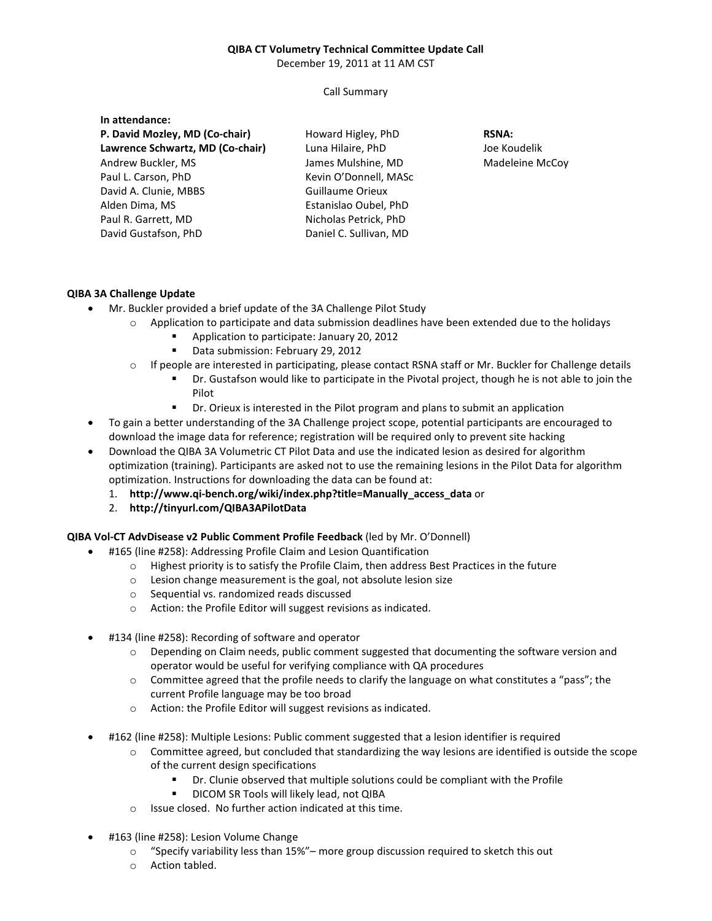## **QIBA CT Volumetry Technical Committee Update Call**

December 19, 2011 at 11 AM CST

Call Summary

| In attendance:                   |                         |                 |
|----------------------------------|-------------------------|-----------------|
| P. David Mozley, MD (Co-chair)   | Howard Higley, PhD      | <b>RSNA:</b>    |
| Lawrence Schwartz, MD (Co-chair) | Luna Hilaire, PhD       | Joe Koudelik    |
| Andrew Buckler, MS               | James Mulshine, MD      | Madeleine McCoy |
| Paul L. Carson, PhD              | Kevin O'Donnell, MASc   |                 |
| David A. Clunie, MBBS            | <b>Guillaume Orieux</b> |                 |
| Alden Dima, MS                   | Estanislao Oubel, PhD   |                 |
| Paul R. Garrett, MD              | Nicholas Petrick, PhD   |                 |
| David Gustafson, PhD             | Daniel C. Sullivan, MD  |                 |
|                                  |                         |                 |

## **QIBA 3A Challenge Update**

- Mr. Buckler provided a brief update of the 3A Challenge Pilot Study
	- $\circ$  Application to participate and data submission deadlines have been extended due to the holidays
		- **Application to participate: January 20, 2012**
		- Data submission: February 29, 2012
	- o If people are interested in participating, please contact RSNA staff or Mr. Buckler for Challenge details
		- Dr. Gustafson would like to participate in the Pivotal project, though he is not able to join the Pilot
		- **•** Dr. Orieux is interested in the Pilot program and plans to submit an application
- To gain a better understanding of the 3A Challenge project scope, potential participants are encouraged to download the image data for reference; registration will be required only to prevent site hacking
- Download the QIBA 3A Volumetric CT Pilot Data and use the indicated lesion as desired for algorithm optimization (training). Participants are asked not to use the remaining lesions in the Pilot Data for algorithm optimization. Instructions for downloading the data can be found at:
	- 1. **http://www.qi-bench.org/wiki/index.php?title=Manually\_access\_data** or
	- 2. **http://tinyurl.com/QIBA3APilotData**

## **QIBA Vol-CT AdvDisease v2 Public Comment Profile Feedback** (led by Mr. O'Donnell)

- #165 (line #258): Addressing Profile Claim and Lesion Quantification
	- $\circ$  Highest priority is to satisfy the Profile Claim, then address Best Practices in the future
	- o Lesion change measurement is the goal, not absolute lesion size
	- o Sequential vs. randomized reads discussed
	- o Action: the Profile Editor will suggest revisions as indicated.
- #134 (line #258): Recording of software and operator
	- o Depending on Claim needs, public comment suggested that documenting the software version and operator would be useful for verifying compliance with QA procedures
	- o Committee agreed that the profile needs to clarify the language on what constitutes a "pass"; the current Profile language may be too broad
	- o Action: the Profile Editor will suggest revisions as indicated.
- #162 (line #258): Multiple Lesions: Public comment suggested that a lesion identifier is required
	- o Committee agreed, but concluded that standardizing the way lesions are identified is outside the scope of the current design specifications
		- Dr. Clunie observed that multiple solutions could be compliant with the Profile
		- **DICOM SR Tools will likely lead, not QIBA**
	- o Issue closed. No further action indicated at this time.
- #163 (line #258): Lesion Volume Change
	- $\circ$  "Specify variability less than 15%"– more group discussion required to sketch this out
	- o Action tabled.